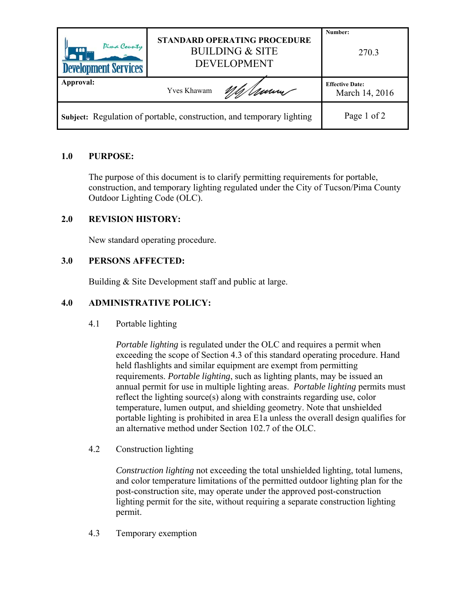| Pima County<br>ana l<br><b>Development Services</b> | <b>STANDARD OPERATING PROCEDURE</b><br><b>BUILDING &amp; SITE</b><br><b>DEVELOPMENT</b> | Number:<br>270.3       |
|-----------------------------------------------------|-----------------------------------------------------------------------------------------|------------------------|
| Approval:                                           |                                                                                         | <b>Effective Date:</b> |
|                                                     | mum -<br>Yves Khawam                                                                    | March 14, 2016         |

# **1.0 PURPOSE:**

The purpose of this document is to clarify permitting requirements for portable, construction, and temporary lighting regulated under the City of Tucson/Pima County Outdoor Lighting Code (OLC).

### **2.0 REVISION HISTORY:**

New standard operating procedure.

### **3.0 PERSONS AFFECTED:**

Building & Site Development staff and public at large.

## **4.0 ADMINISTRATIVE POLICY:**

4.1 Portable lighting

*Portable lighting* is regulated under the OLC and requires a permit when exceeding the scope of Section 4.3 of this standard operating procedure. Hand held flashlights and similar equipment are exempt from permitting requirements. *Portable lighting*, such as lighting plants, may be issued an annual permit for use in multiple lighting areas. *Portable lighting* permits must reflect the lighting source(s) along with constraints regarding use, color temperature, lumen output, and shielding geometry. Note that unshielded portable lighting is prohibited in area E1a unless the overall design qualifies for an alternative method under Section 102.7 of the OLC.

4.2 Construction lighting

*Construction lighting* not exceeding the total unshielded lighting, total lumens, and color temperature limitations of the permitted outdoor lighting plan for the post-construction site, may operate under the approved post-construction lighting permit for the site, without requiring a separate construction lighting permit.

4.3 Temporary exemption